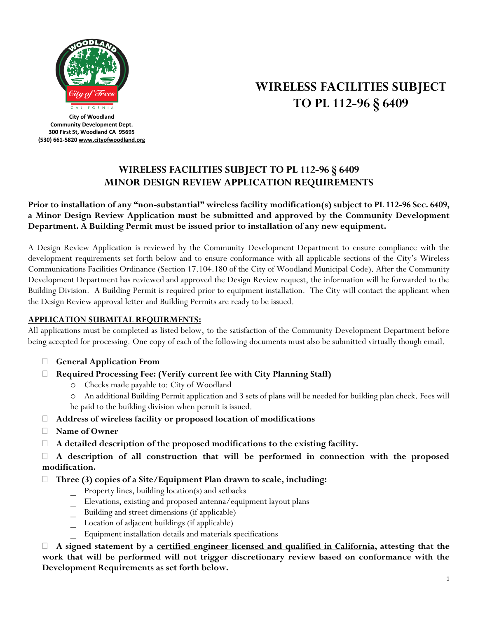

**City of Woodland Community Development Dept. 300 First St, Woodland CA 95695 (530) 661-582[0 www.cityofwoodland.org](http://www.cityofwoodland.org/)**

# **WIRELESS FACILITIES SUBJECT TO PL 112-96 § 6409**

## **WIRELESS FACILITIES SUBJECT TO PL 112-96 § 6409 MINOR DESIGN REVIEW APPLICATION REQUIREMENTS**

**Prior to installation of any "non-substantial" wireless facility modification(s) subject to PL 112-96 Sec. 6409, a Minor Design Review Application must be submitted and approved by the Community Development Department. A Building Permit must be issued prior to installation of any new equipment.**

A Design Review Application is reviewed by the Community Development Department to ensure compliance with the development requirements set forth below and to ensure conformance with all applicable sections of the City's Wireless Communications Facilities Ordinance (Section 17.104.180 of the City of Woodland Municipal Code). After the Community Development Department has reviewed and approved the Design Review request, the information will be forwarded to the Building Division. A Building Permit is required prior to equipment installation. The City will contact the applicant when the Design Review approval letter and Building Permits are ready to be issued.

### **APPLICATION SUBMITAL REQUIRMENTS:**

All applications must be completed as listed below, to the satisfaction of the Community Development Department before being accepted for processing. One copy of each of the following documents must also be submitted virtually though email.

- **General Application From**
- **Required Processing Fee: (Verify current fee with City Planning Staff)**
	- o Checks made payable to: City of Woodland
	- o An additional Building Permit application and 3 sets of plans will be needed for building plan check. Fees will be paid to the building division when permit is issued.
- **Address of wireless facility or proposed location of modifications**
- **Name of Owner**
- **A detailed description of the proposed modifications to the existing facility.**

 **A description of all construction that will be performed in connection with the proposed modification.**

- **Three (3) copies of a Site/Equipment Plan drawn to scale, including:**
	- Property lines, building location(s) and setbacks
	- \_ Elevations, existing and proposed antenna/equipment layout plans
	- \_ Building and street dimensions (if applicable)
	- \_ Location of adjacent buildings (if applicable)
	- \_ Equipment installation details and materials specifications

 **A signed statement by a certified engineer licensed and qualified in California, attesting that the work that will be performed will not trigger discretionary review based on conformance with the Development Requirements as set forth below.**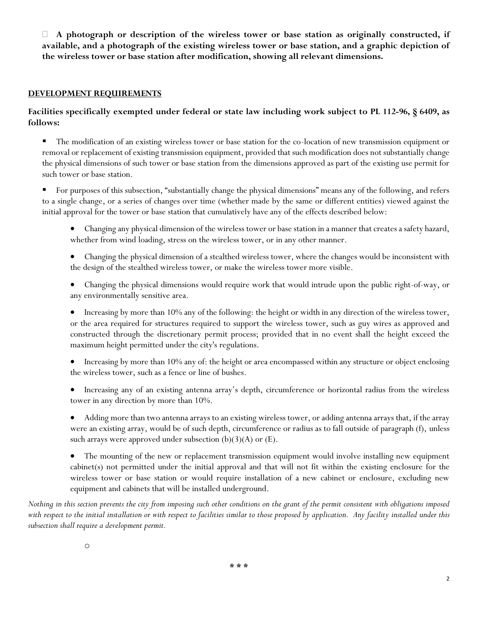**A photograph or description of the wireless tower or base station as originally constructed, if available, and a photograph of the existing wireless tower or base station, and a graphic depiction of the wireless tower or base station after modification, showing all relevant dimensions.**

#### **DEVELOPMENT REQUIREMENTS**

#### **Facilities specifically exempted under federal or state law including work subject to PL 112-96, § 6409, as follows:**

- The modification of an existing wireless tower or base station for the co-location of new transmission equipment or removal or replacement of existing transmission equipment, provided that such modification does not substantially change the physical dimensions of such tower or base station from the dimensions approved as part of the existing use permit for such tower or base station.
- For purposes of this subsection, "substantially change the physical dimensions" means any of the following, and refers to a single change, or a series of changes over time (whether made by the same or different entities) viewed against the initial approval for the tower or base station that cumulatively have any of the effects described below:
	- Changing any physical dimension of the wireless tower or base station in a manner that creates a safety hazard, whether from wind loading, stress on the wireless tower, or in any other manner.
	- Changing the physical dimension of a stealthed wireless tower, where the changes would be inconsistent with the design of the stealthed wireless tower, or make the wireless tower more visible.
	- Changing the physical dimensions would require work that would intrude upon the public right-of-way, or any environmentally sensitive area.
	- Increasing by more than 10% any of the following: the height or width in any direction of the wireless tower, or the area required for structures required to support the wireless tower, such as guy wires as approved and constructed through the discretionary permit process; provided that in no event shall the height exceed the maximum height permitted under the city's regulations.
	- Increasing by more than 10% any of: the height or area encompassed within any structure or object enclosing the wireless tower, such as a fence or line of bushes.
	- Increasing any of an existing antenna array's depth, circumference or horizontal radius from the wireless tower in any direction by more than 10%.
	- Adding more than two antenna arrays to an existing wireless tower, or adding antenna arrays that, if the array were an existing array, would be of such depth, circumference or radius as to fall outside of paragraph (f), unless such arrays were approved under subsection  $(b)(3)(A)$  or  $(E)$ .
	- The mounting of the new or replacement transmission equipment would involve installing new equipment cabinet(s) not permitted under the initial approval and that will not fit within the existing enclosure for the wireless tower or base station or would require installation of a new cabinet or enclosure, excluding new equipment and cabinets that will be installed underground.

*Nothing in this section prevents the city from imposing such other conditions on the grant of the permit consistent with obligations imposed with respect to the initial installation or with respect to facilities similar to those proposed by application. Any facility installed under this subsection shall require a development permit.*